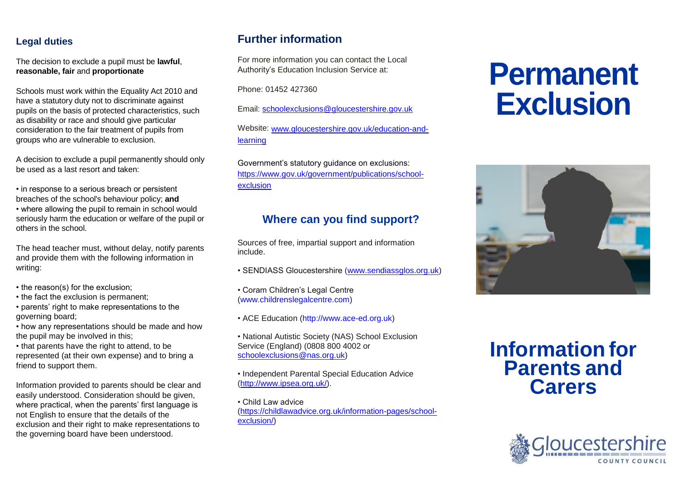#### **Legal duties**

The decision to exclude a pupil must be **lawful**, **reasonable, fair** and **proportionate**

Schools must work within the Equality Act 2010 and have a statutory duty not to discriminate against pupils on the basis of protected characteristics, such as disability or race and should give particular consideration to the fair treatment of pupils from groups who are vulnerable to exclusion.

A decision to exclude a pupil permanently should only be used as a last resort and taken:

• in response to a serious breach or persistent breaches of the school's behaviour policy; **and** • where allowing the pupil to remain in school would seriously harm the education or welfare of the pupil or others in the school.

The head teacher must, without delay, notify parents and provide them with the following information in writing:

- the reason(s) for the exclusion;
- the fact the exclusion is permanent;
- parents' right to make representations to the governing board;
- how any representations should be made and how the pupil may be involved in this;

• that parents have the right to attend, to be represented (at their own expense) and to bring a friend to support them.

Information provided to parents should be clear and easily understood. Consideration should be given, where practical, when the parents' first language is not English to ensure that the details of the exclusion and their right to make representations to the governing board have been understood.

## **Further information**

For more information you can contact the Local Authority's Education Inclusion Service at:

Phone: 01452 427360

Email: [schoolexclusions@gloucestershire.gov.uk](mailto:schoolexclusions@gloucestershire.gov.uk)

Website: [www.gloucestershire.gov.uk/education-and](http://www.gloucestershire.gov.uk/education-and-learning)[learning](http://www.gloucestershire.gov.uk/education-and-learning)

Government's statutory guidance on exclusions: [https://www.gov.uk/government/publications/school](https://www.gov.uk/government/publications/school-exclusion)[exclusion](https://www.gov.uk/government/publications/school-exclusion)

## **Where can you find support?**

Sources of free, impartial support and information include.

- SENDIASS Gloucestershire [\(www.sendiassglos.org.uk\)](http://www.sendiassglos.org.uk/)
- Coram Children's Legal Centre (www.childrenslegalcentre.com)
- ACE Education (http://www.ace-ed.org.uk)
- National Autistic Society (NAS) School Exclusion Service (England) (0808 800 4002 or [schoolexclusions@nas.org.uk\)](mailto:schoolexclusions@nas.org.uk)
- Independent Parental Special Education Advice [\(http://www.ipsea.org.uk/\)](http://www.ipsea.org.uk/).

• Child Law advice [\(https://childlawadvice.org.uk/information-pages/school](https://childlawadvice.org.uk/information-pages/school-exclusion/)[exclusion/\)](https://childlawadvice.org.uk/information-pages/school-exclusion/)

# **Permanent Exclusion**



# **Information for Parents and Carers**